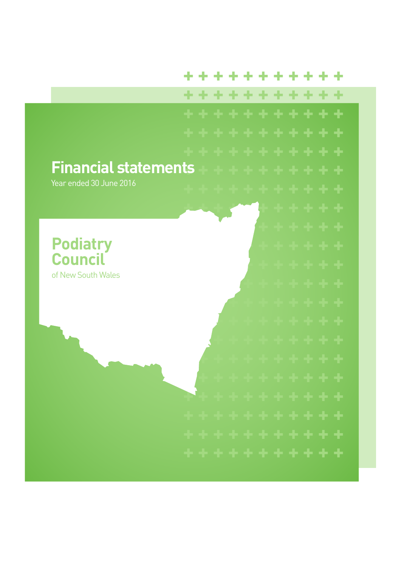#### \*\*\*\*\*\*\* ÷ ÷

\*\*\*\*\*\*\*\*\*\* ÷ . . . . . . . . . . . . Financial statements<br>Year ended 30 June 2016 \* \* \* \* \* \*<br>\* \* \* \* \* \*<br>\* \* \* \* \* \* \* **Podiatry Council** of New South Wales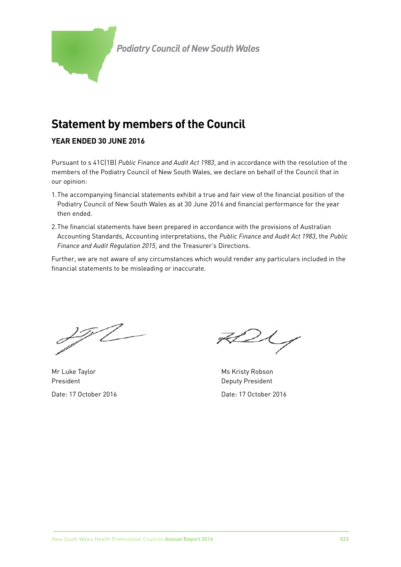

# **Statement by members of the Council**

## **YEAR ENDED 30 JUNE 2016**

Pursuant to s 41C(1B) *Public Finance and Audit Act 1983*, and in accordance with the resolution of the members of the Podiatry Council of New South Wales, we declare on behalf of the Council that in our opinion:

- 1.The accompanying financial statements exhibit a true and fair view of the financial position of the Podiatry Council of New South Wales as at 30 June 2016 and financial performance for the year then ended.
- 2.The financial statements have been prepared in accordance with the provisions of Australian Accounting Standards, Accounting interpretations, the *Public Finance and Audit Act 1983*, the *Public Finance and Audit Regulation 2015*, and the Treasurer's Directions.

Further, we are not aware of any circumstances which would render any particulars included in the financial statements to be misleading or inaccurate.

<u> 25</u>7

Mr Luke Taylor **Mr Account Account Account Account Account Account Account Account Account Account Account Account** President **Deputy President** 

 $2\zeta$ 

Date: 17 October 2016 Date: 17 October 2016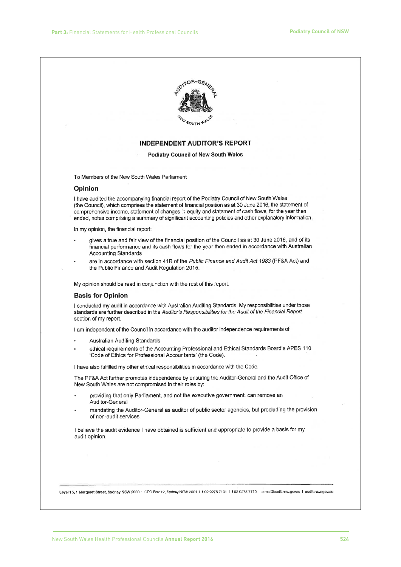

#### **INDEPENDENT AUDITOR'S REPORT**

**Podiatry Council of New South Wales** 

To Members of the New South Wales Parliament

#### Opinion

I have audited the accompanying financial report of the Podiatry Council of New South Wales (the Council), which comprises the statement of financial position as at 30 June 2016, the statement of comprehensive income, statement of changes in equity and statement of cash flows, for the year then ended, notes comprising a summary of significant accounting policies and other explanatory information.

In my opinion, the financial report:

- gives a true and fair view of the financial position of the Council as at 30 June 2016, and of its financial performance and its cash flows for the year then ended in accordance with Australian **Accounting Standards**
- are in accordance with section 41B of the Public Finance and Audit Act 1983 (PF&A Act) and the Public Finance and Audit Regulation 2015.

My opinion should be read in conjunction with the rest of this report.

#### **Basis for Opinion**

I conducted my audit in accordance with Australian Auditing Standards. My responsibilities under those standards are further described in the Auditor's Responsibilities for the Audit of the Financial Report section of my report.

I am independent of the Council in accordance with the auditor independence requirements of:

- Australian Auditing Standards
- ethical requirements of the Accounting Professional and Ethical Standards Board's APES 110 'Code of Ethics for Professional Accountants' (the Code).

I have also fulfilled my other ethical responsibilities in accordance with the Code.

The PF&A Act further promotes independence by ensuring the Auditor-General and the Audit Office of New South Wales are not compromised in their roles by:

- providing that only Parliament, and not the executive government, can remove an Auditor-General
- mandating the Auditor-General as auditor of public sector agencies, but precluding the provision of non-audit services.

I believe the audit evidence I have obtained is sufficient and appropriate to provide a basis for my audit opinion.

Level 15.1 Margaret Street, Sydney NSW 2000 | GPO Box 12, Sydney NSW 2001 | t 02 9275 7101 | f 02 9275 7179 | e mail@audit.nsw.gov.au | audit.nsw.gov.au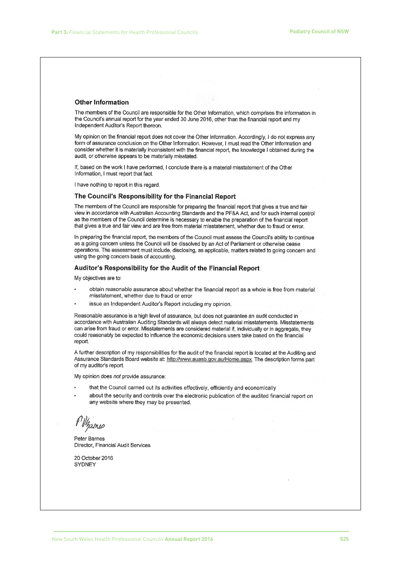#### **Other Information**

The members of the Council are responsible for the Other Information, which comprises the information in the Council's annual report for the year ended 30 June 2016, other than the financial report and my Independent Auditor's Report thereon.

My opinion on the financial report does not cover the Other Information. Accordingly, I do not express any form of assurance conclusion on the Other Information. However, I must read the Other Information and consider whether it is materially inconsistent with the financial report, the knowledge I obtained during the audit, or otherwise appears to be materially misstated.

If, based on the work I have performed, I conclude there is a material misstatement of the Other Information, I must report that fact.

I have nothing to report in this regard.

#### The Council's Responsibility for the Financial Report

The members of the Council are responsible for preparing the financial report that gives a true and fair view in accordance with Australian Accounting Standards and the PF&A Act, and for such internal control as the members of the Council determine is necessary to enable the preparation of the financial report that gives a true and fair view and are free from material misstatement, whether due to fraud or error.

In preparing the financial report, the members of the Council must assess the Council's ability to continue as a going concern unless the Council will be dissolved by an Act of Parliament or otherwise cease operations. The assessment must include, disclosing, as applicable, matters related to going concern and using the going concern basis of accounting.

#### Auditor's Responsibility for the Audit of the Financial Report

My objectives are to:

- obtain reasonable assurance about whether the financial report as a whole is free from material misstatement, whether due to fraud or error
- issue an Independent Auditor's Report including my opinion.

Reasonable assurance is a high level of assurance, but does not quarantee an audit conducted in accordance with Australian Auditing Standards will always detect material misstatements. Misstatements can arise from fraud or error. Misstatements are considered material if, individually or in aggregate, they could reasonably be expected to influence the economic decisions users take based on the financial report.

A further description of my responsibilities for the audit of the financial report is located at the Auditing and Assurance Standards Board website at: http://www.auasb.gov.au/Home.aspx. The description forms part of my auditor's report.

My opinion does not provide assurance:

- that the Council carried out its activities effectively, efficiently and economically
- about the security and controls over the electronic publication of the audited financial report on any website where they may be presented.

Mzanic

Peter Barnes Director, Financial Audit Services

20 October 2016 SYDNEY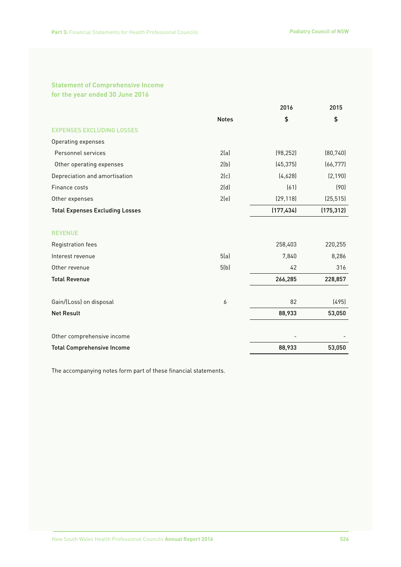### **Statement of Comprehensive Income for the year ended 30 June 2016**

|                                        |              | 2016       | 2015       |
|----------------------------------------|--------------|------------|------------|
|                                        | <b>Notes</b> | \$         | \$         |
| <b>EXPENSES EXCLUDING LOSSES</b>       |              |            |            |
| Operating expenses                     |              |            |            |
| Personnel services                     | 2(a)         | (98, 252)  | (80, 740)  |
| Other operating expenses               | 2(b)         | (45, 375)  | (66, 777)  |
| Depreciation and amortisation          | 2(c)         | (4,628)    | (2, 190)   |
| Finance costs                          | 2(d)         | (61)       | (90)       |
| Other expenses                         | 2(e)         | (29, 118)  | (25, 515)  |
| <b>Total Expenses Excluding Losses</b> |              | (177, 434) | (175, 312) |
| <b>REVENUE</b>                         |              |            |            |
| Registration fees                      |              | 258,403    | 220,255    |
| Interest revenue                       | 5(a)         | 7,840      | 8,286      |
| Other revenue                          | 5(b)         | 42         | 316        |
| <b>Total Revenue</b>                   |              | 266,285    | 228,857    |
| Gain/(Loss) on disposal                | 6            | 82         | (495)      |
| <b>Net Result</b>                      |              | 88,933     | 53,050     |
| Other comprehensive income             |              |            |            |
| <b>Total Comprehensive Income</b>      |              | 88,933     | 53,050     |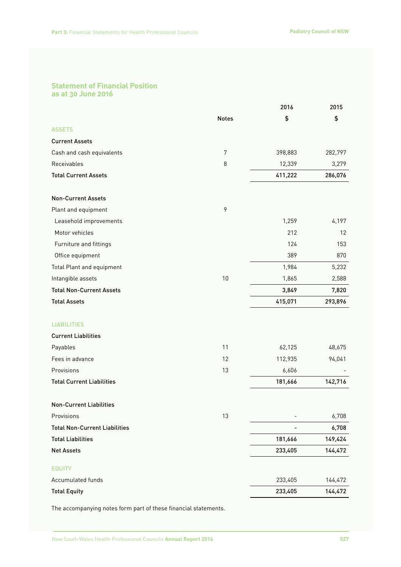### **Statement of Financial Position as at 30 June 2016**

|                                      |              | 2016    | 2015    |
|--------------------------------------|--------------|---------|---------|
|                                      | <b>Notes</b> | \$      | \$      |
| <b>ASSETS</b>                        |              |         |         |
| <b>Current Assets</b>                |              |         |         |
| Cash and cash equivalents            | 7            | 398,883 | 282,797 |
| Receivables                          | 8            | 12,339  | 3,279   |
| <b>Total Current Assets</b>          |              | 411,222 | 286,076 |
| <b>Non-Current Assets</b>            |              |         |         |
| Plant and equipment                  | 9            |         |         |
| Leasehold improvements               |              | 1,259   | 4,197   |
| Motor vehicles                       |              | 212     | 12      |
| Furniture and fittings               |              | 124     | 153     |
| Office equipment                     |              | 389     | 870     |
| Total Plant and equipment            |              | 1,984   | 5,232   |
| Intangible assets                    | 10           | 1,865   | 2,588   |
| <b>Total Non-Current Assets</b>      |              | 3,849   | 7,820   |
| <b>Total Assets</b>                  |              | 415,071 | 293,896 |
| <b>LIABILITIES</b>                   |              |         |         |
| <b>Current Liabilities</b>           |              |         |         |
| Payables                             | 11           | 62,125  | 48,675  |
| Fees in advance                      | 12           | 112,935 | 94,041  |
| Provisions                           | 13           | 6,606   |         |
| <b>Total Current Liabilities</b>     |              | 181,666 | 142,716 |
| <b>Non-Current Liabilities</b>       |              |         |         |
| Provisions                           | 13           |         | 6,708   |
| <b>Total Non-Current Liabilities</b> |              |         | 6,708   |
| <b>Total Liabilities</b>             |              | 181,666 | 149,424 |
| <b>Net Assets</b>                    |              | 233,405 | 144,472 |
| <b>EQUITY</b>                        |              |         |         |
| Accumulated funds                    |              | 233,405 | 144,472 |
| <b>Total Equity</b>                  |              | 233,405 | 144,472 |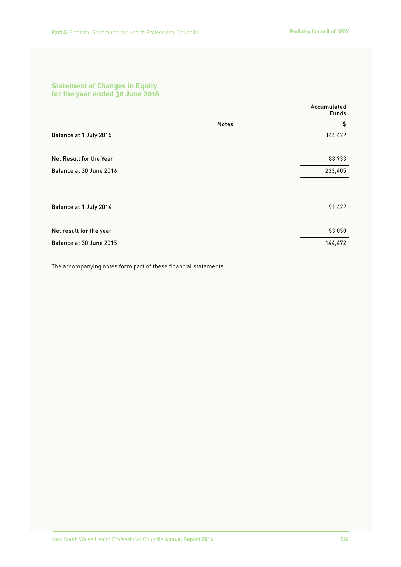### **Statement of Changes in Equity for the year ended 30 June 2016**

|                         | Accumulated<br><b>Funds</b> |
|-------------------------|-----------------------------|
|                         | \$<br><b>Notes</b>          |
| Balance at 1 July 2015  | 144,472                     |
| Net Result for the Year | 88,933                      |
| Balance at 30 June 2016 | 233,405                     |
|                         |                             |
| Balance at 1 July 2014  | 91,422                      |
| Net result for the year | 53,050                      |
| Balance at 30 June 2015 | 144,472                     |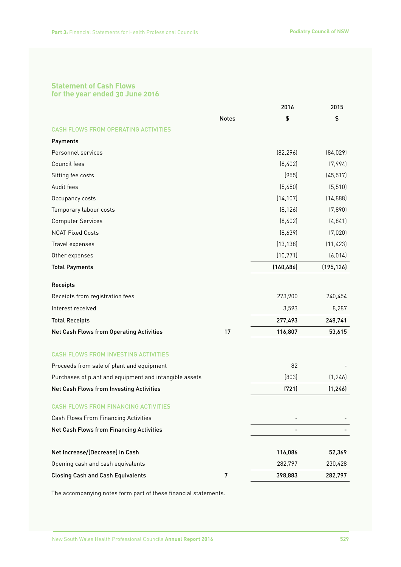### **Statement of Cash Flows for the year ended 30 June 2016**

|                                                        |              | 2016       | 2015       |
|--------------------------------------------------------|--------------|------------|------------|
|                                                        | <b>Notes</b> | \$         | \$         |
| <b>CASH FLOWS FROM OPERATING ACTIVITIES</b>            |              |            |            |
| Payments                                               |              |            |            |
| Personnel services                                     |              | [82, 296]  | (84, 029)  |
| Council fees                                           |              | (8,402)    | (7,994)    |
| Sitting fee costs                                      |              | (955)      | (45, 517)  |
| Audit fees                                             |              | (5,650)    | (5, 510)   |
| Occupancy costs                                        |              | (14, 107)  | (14, 888)  |
| Temporary labour costs                                 |              | [8, 126]   | (7,890)    |
| <b>Computer Services</b>                               |              | (8,602)    | (4, 841)   |
| <b>NCAT Fixed Costs</b>                                |              | [8,639]    | (7,020)    |
| Travel expenses                                        |              | (13, 138)  | (11, 423)  |
| Other expenses                                         |              | (10, 771)  | (6, 014)   |
| <b>Total Payments</b>                                  |              | (160, 686) | (195, 126) |
| Receipts                                               |              |            |            |
| Receipts from registration fees                        |              | 273,900    | 240,454    |
| Interest received                                      |              | 3,593      | 8,287      |
| <b>Total Receipts</b>                                  |              | 277,493    | 248,741    |
| Net Cash Flows from Operating Activities               | 17           | 116,807    | 53,615     |
| <b>CASH FLOWS FROM INVESTING ACTIVITIES</b>            |              |            |            |
| Proceeds from sale of plant and equipment              |              | 82         |            |
| Purchases of plant and equipment and intangible assets |              | (803)      | (1, 246)   |
| Net Cash Flows from Investing Activities               |              | (721)      | (1, 246)   |
| <b>CASH FLOWS FROM FINANCING ACTIVITIES</b>            |              |            |            |
| Cash Flows From Financing Activities                   |              |            |            |
| Net Cash Flows from Financing Activities               |              |            |            |
| Net Increase/(Decrease) in Cash                        |              | 116,086    | 52,369     |
| Opening cash and cash equivalents                      |              | 282,797    | 230,428    |
| <b>Closing Cash and Cash Equivalents</b>               | 7            | 398,883    | 282,797    |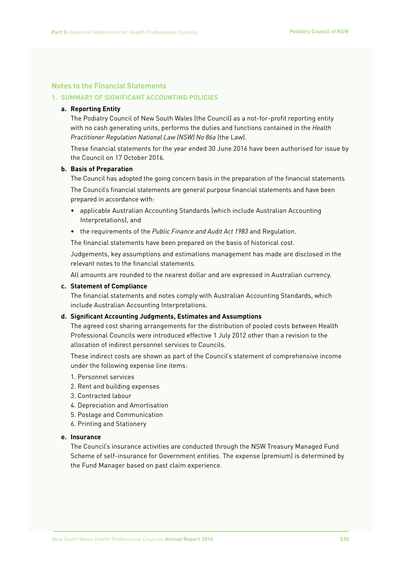### **Notes to the Financial Statements**

### **1. SUMMARY OF SIGNIFICANT ACCOUNTING POLICIES**

### **a. Reporting Entity**

The Podiatry Council of New South Wales (the Council) as a not-for-profit reporting entity with no cash generating units, performs the duties and functions contained in the *Health Practitioner Regulation National Law (NSW) No 86a* (the Law).

These financial statements for the year ended 30 June 2016 have been authorised for issue by the Council on 17 October 2016.

### **b. Basis of Preparation**

The Council has adopted the going concern basis in the preparation of the financial statements The Council's financial statements are general purpose financial statements and have been prepared in accordance with:

- applicable Australian Accounting Standards (which include Australian Accounting Interpretations), and
- the requirements of the *Public Finance and Audit Act 1983* and Regulation.

The financial statements have been prepared on the basis of historical cost.

Judgements, key assumptions and estimations management has made are disclosed in the relevant notes to the financial statements.

All amounts are rounded to the nearest dollar and are expressed in Australian currency.

### **c. Statement of Compliance**

The financial statements and notes comply with Australian Accounting Standards, which include Australian Accounting Interpretations.

### **d. Significant Accounting Judgments, Estimates and Assumptions**

The agreed cost sharing arrangements for the distribution of pooled costs between Health Professional Councils were introduced effective 1 July 2012 other than a revision to the allocation of indirect personnel services to Councils.

These indirect costs are shown as part of the Council's statement of comprehensive income under the following expense line items:

- 1. Personnel services
- 2. Rent and building expenses
- 3. Contracted labour
- 4. Depreciation and Amortisation
- 5. Postage and Communication
- 6. Printing and Stationery

### **e. Insurance**

The Council's insurance activities are conducted through the NSW Treasury Managed Fund Scheme of self-insurance for Government entities. The expense (premium) is determined by the Fund Manager based on past claim experience.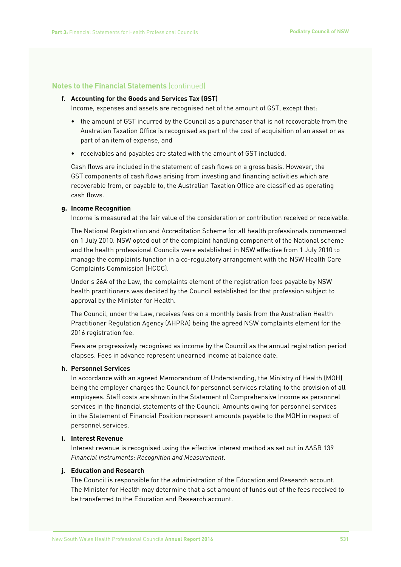### **f. Accounting for the Goods and Services Tax (GST)**

Income, expenses and assets are recognised net of the amount of GST, except that:

- the amount of GST incurred by the Council as a purchaser that is not recoverable from the Australian Taxation Office is recognised as part of the cost of acquisition of an asset or as part of an item of expense, and
- receivables and payables are stated with the amount of GST included.

Cash flows are included in the statement of cash flows on a gross basis. However, the GST components of cash flows arising from investing and financing activities which are recoverable from, or payable to, the Australian Taxation Office are classified as operating cash flows.

### **g. Income Recognition**

Income is measured at the fair value of the consideration or contribution received or receivable.

The National Registration and Accreditation Scheme for all health professionals commenced on 1 July 2010. NSW opted out of the complaint handling component of the National scheme and the health professional Councils were established in NSW effective from 1 July 2010 to manage the complaints function in a co-regulatory arrangement with the NSW Health Care Complaints Commission (HCCC).

Under s 26A of the Law, the complaints element of the registration fees payable by NSW health practitioners was decided by the Council established for that profession subject to approval by the Minister for Health.

The Council, under the Law, receives fees on a monthly basis from the Australian Health Practitioner Regulation Agency (AHPRA) being the agreed NSW complaints element for the 2016 registration fee.

Fees are progressively recognised as income by the Council as the annual registration period elapses. Fees in advance represent unearned income at balance date.

#### **h. Personnel Services**

In accordance with an agreed Memorandum of Understanding, the Ministry of Health (MOH) being the employer charges the Council for personnel services relating to the provision of all employees. Staff costs are shown in the Statement of Comprehensive Income as personnel services in the financial statements of the Council. Amounts owing for personnel services in the Statement of Financial Position represent amounts payable to the MOH in respect of personnel services.

#### **i. Interest Revenue**

Interest revenue is recognised using the effective interest method as set out in AASB 139 *Financial Instruments: Recognition and Measurement*.

### **j. Education and Research**

The Council is responsible for the administration of the Education and Research account. The Minister for Health may determine that a set amount of funds out of the fees received to be transferred to the Education and Research account.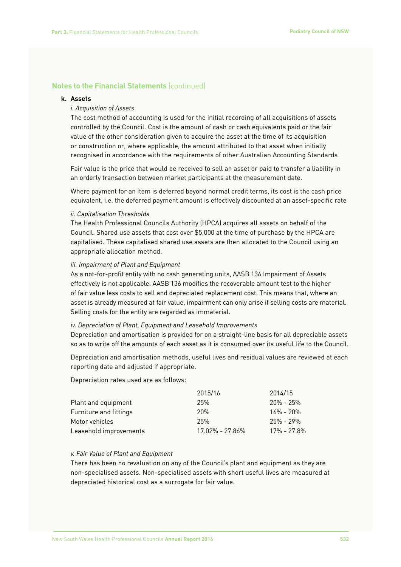### **k. Assets**

### *i. Acquisition of Assets*

The cost method of accounting is used for the initial recording of all acquisitions of assets controlled by the Council. Cost is the amount of cash or cash equivalents paid or the fair value of the other consideration given to acquire the asset at the time of its acquisition or construction or, where applicable, the amount attributed to that asset when initially recognised in accordance with the requirements of other Australian Accounting Standards

Fair value is the price that would be received to sell an asset or paid to transfer a liability in an orderly transaction between market participants at the measurement date.

Where payment for an item is deferred beyond normal credit terms, its cost is the cash price equivalent, i.e. the deferred payment amount is effectively discounted at an asset-specific rate

#### *ii. Capitalisation Thresholds*

The Health Professional Councils Authority (HPCA) acquires all assets on behalf of the Council. Shared use assets that cost over \$5,000 at the time of purchase by the HPCA are capitalised. These capitalised shared use assets are then allocated to the Council using an appropriate allocation method.

#### *iii. Impairment of Plant and Equipment*

As a not-for-profit entity with no cash generating units, AASB 136 Impairment of Assets effectively is not applicable. AASB 136 modifies the recoverable amount test to the higher of fair value less costs to sell and depreciated replacement cost. This means that, where an asset is already measured at fair value, impairment can only arise if selling costs are material. Selling costs for the entity are regarded as immaterial.

#### *iv. Depreciation of Plant, Equipment and Leasehold Improvements*

Depreciation and amortisation is provided for on a straight-line basis for all depreciable assets so as to write off the amounts of each asset as it is consumed over its useful life to the Council.

Depreciation and amortisation methods, useful lives and residual values are reviewed at each reporting date and adjusted if appropriate.

Depreciation rates used are as follows:

|                        | 2015/16         | 2014/15       |
|------------------------|-----------------|---------------|
| Plant and equipment    | 25%             | $20\% - 25\%$ |
| Furniture and fittings | <b>20%</b>      | $16\% - 20\%$ |
| Motor vehicles         | 25%             | $25\% - 29\%$ |
| Leasehold improvements | 17.02% - 27.86% | 17% - 27.8%   |

### *v. Fair Value of Plant and Equipment*

There has been no revaluation on any of the Council's plant and equipment as they are non-specialised assets. Non-specialised assets with short useful lives are measured at depreciated historical cost as a surrogate for fair value.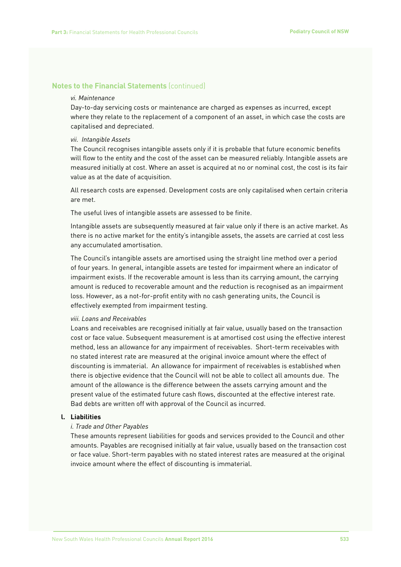#### *vi. Maintenance*

Day-to-day servicing costs or maintenance are charged as expenses as incurred, except where they relate to the replacement of a component of an asset, in which case the costs are capitalised and depreciated.

#### *vii. Intangible Assets*

The Council recognises intangible assets only if it is probable that future economic benefits will flow to the entity and the cost of the asset can be measured reliably. Intangible assets are measured initially at cost. Where an asset is acquired at no or nominal cost, the cost is its fair value as at the date of acquisition.

All research costs are expensed. Development costs are only capitalised when certain criteria are met.

The useful lives of intangible assets are assessed to be finite.

Intangible assets are subsequently measured at fair value only if there is an active market. As there is no active market for the entity's intangible assets, the assets are carried at cost less any accumulated amortisation.

The Council's intangible assets are amortised using the straight line method over a period of four years. In general, intangible assets are tested for impairment where an indicator of impairment exists. If the recoverable amount is less than its carrying amount, the carrying amount is reduced to recoverable amount and the reduction is recognised as an impairment loss. However, as a not-for-profit entity with no cash generating units, the Council is effectively exempted from impairment testing.

#### *viii. Loans and Receivables*

Loans and receivables are recognised initially at fair value, usually based on the transaction cost or face value. Subsequent measurement is at amortised cost using the effective interest method, less an allowance for any impairment of receivables. Short-term receivables with no stated interest rate are measured at the original invoice amount where the effect of discounting is immaterial. An allowance for impairment of receivables is established when there is objective evidence that the Council will not be able to collect all amounts due. The amount of the allowance is the difference between the assets carrying amount and the present value of the estimated future cash flows, discounted at the effective interest rate. Bad debts are written off with approval of the Council as incurred.

### **l. Liabilities**

### *i. Trade and Other Payables*

These amounts represent liabilities for goods and services provided to the Council and other amounts. Payables are recognised initially at fair value, usually based on the transaction cost or face value. Short-term payables with no stated interest rates are measured at the original invoice amount where the effect of discounting is immaterial.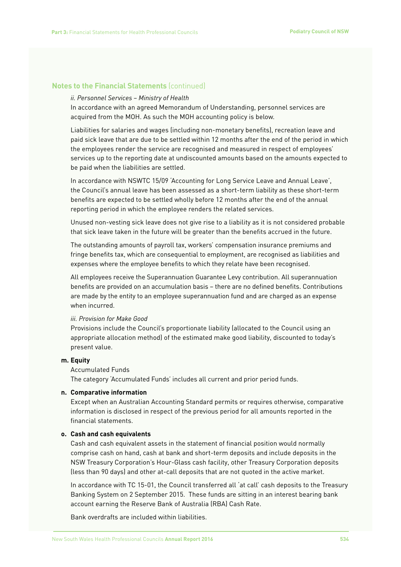#### *ii. Personnel Services – Ministry of Health*

In accordance with an agreed Memorandum of Understanding, personnel services are acquired from the MOH. As such the MOH accounting policy is below.

Liabilities for salaries and wages (including non-monetary benefits), recreation leave and paid sick leave that are due to be settled within 12 months after the end of the period in which the employees render the service are recognised and measured in respect of employees' services up to the reporting date at undiscounted amounts based on the amounts expected to be paid when the liabilities are settled.

In accordance with NSWTC 15/09 'Accounting for Long Service Leave and Annual Leave', the Council's annual leave has been assessed as a short-term liability as these short-term benefits are expected to be settled wholly before 12 months after the end of the annual reporting period in which the employee renders the related services.

Unused non-vesting sick leave does not give rise to a liability as it is not considered probable that sick leave taken in the future will be greater than the benefits accrued in the future.

The outstanding amounts of payroll tax, workers' compensation insurance premiums and fringe benefits tax, which are consequential to employment, are recognised as liabilities and expenses where the employee benefits to which they relate have been recognised.

All employees receive the Superannuation Guarantee Levy contribution. All superannuation benefits are provided on an accumulation basis – there are no defined benefits. Contributions are made by the entity to an employee superannuation fund and are charged as an expense when incurred.

#### *iii. Provision for Make Good*

Provisions include the Council's proportionate liability (allocated to the Council using an appropriate allocation method) of the estimated make good liability, discounted to today's present value.

#### **m. Equity**

#### Accumulated Funds

The category 'Accumulated Funds' includes all current and prior period funds.

#### **n. Comparative information**

Except when an Australian Accounting Standard permits or requires otherwise, comparative information is disclosed in respect of the previous period for all amounts reported in the financial statements.

### **o. Cash and cash equivalents**

Cash and cash equivalent assets in the statement of financial position would normally comprise cash on hand, cash at bank and short-term deposits and include deposits in the NSW Treasury Corporation's Hour-Glass cash facility, other Treasury Corporation deposits (less than 90 days) and other at-call deposits that are not quoted in the active market.

In accordance with TC 15-01, the Council transferred all 'at call' cash deposits to the Treasury Banking System on 2 September 2015. These funds are sitting in an interest bearing bank account earning the Reserve Bank of Australia (RBA) Cash Rate.

Bank overdrafts are included within liabilities.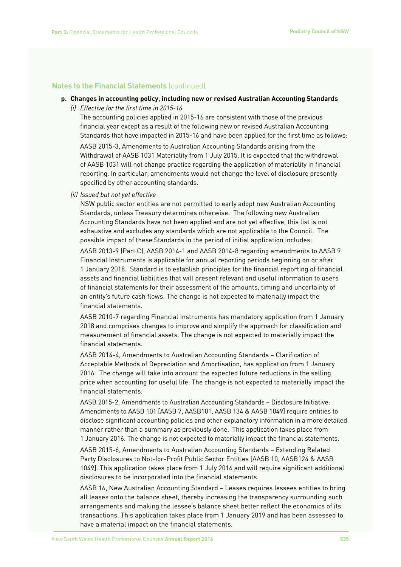### **p. Changes in accounting policy, including new or revised Australian Accounting Standards**

*(i) Effective for the first time in 2015-16*

The accounting policies applied in 2015-16 are consistent with those of the previous financial year except as a result of the following new or revised Australian Accounting Standards that have impacted in 2015-16 and have been applied for the first time as follows:

AASB 2015-3, Amendments to Australian Accounting Standards arising from the Withdrawal of AASB 1031 Materiality from 1 July 2015. It is expected that the withdrawal of AASB 1031 will not change practice regarding the application of materiality in financial reporting. In particular, amendments would not change the level of disclosure presently specified by other accounting standards.

*(ii) Issued but not yet effective* 

NSW public sector entities are not permitted to early adopt new Australian Accounting Standards, unless Treasury determines otherwise. The following new Australian Accounting Standards have not been applied and are not yet effective, this list is not exhaustive and excludes any standards which are not applicable to the Council. The possible impact of these Standards in the period of initial application includes:

AASB 2013-9 (Part C), AASB 2014-1 and AASB 2014-8 regarding amendments to AASB 9 Financial Instruments is applicable for annual reporting periods beginning on or after 1 January 2018. Standard is to establish principles for the financial reporting of financial assets and financial liabilities that will present relevant and useful information to users of financial statements for their assessment of the amounts, timing and uncertainty of an entity's future cash flows. The change is not expected to materially impact the financial statements.

AASB 2010-7 regarding Financial Instruments has mandatory application from 1 January 2018 and comprises changes to improve and simplify the approach for classification and measurement of financial assets. The change is not expected to materially impact the financial statements.

AASB 2014-4, Amendments to Australian Accounting Standards – Clarification of Acceptable Methods of Depreciation and Amortisation, has application from 1 January 2016. The change will take into account the expected future reductions in the selling price when accounting for useful life. The change is not expected to materially impact the financial statements.

AASB 2015-2, Amendments to Australian Accounting Standards – Disclosure Initiative: Amendments to AASB 101 [AASB 7, AASB101, AASB 134 & AASB 1049] require entities to disclose significant accounting policies and other explanatory information in a more detailed manner rather than a summary as previously done. This application takes place from 1 January 2016. The change is not expected to materially impact the financial statements.

AASB 2015-6, Amendments to Australian Accounting Standards – Extending Related Party Disclosures to Not-for-Profit Public Sector Entities [AASB 10, AASB124 & AASB 1049]. This application takes place from 1 July 2016 and will require significant additional disclosures to be incorporated into the financial statements.

AASB 16, New Australian Accounting Standard – Leases requires lessees entities to bring all leases onto the balance sheet, thereby increasing the transparency surrounding such arrangements and making the lessee's balance sheet better reflect the economics of its transactions. This application takes place from 1 January 2019 and has been assessed to have a material impact on the financial statements.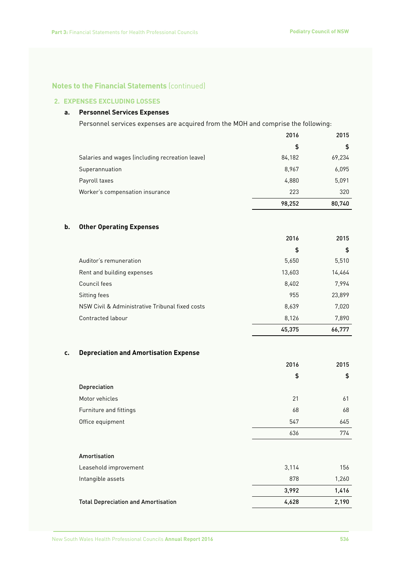### **2. EXPENSES EXCLUDING LOSSES**

### **a. Personnel Services Expenses**

Personnel services expenses are acquired from the MOH and comprise the following:

|                                                 | 2016   | 2015   |
|-------------------------------------------------|--------|--------|
|                                                 | \$     | \$     |
| Salaries and wages (including recreation leave) | 84,182 | 69,234 |
| Superannuation                                  | 8,967  | 6,095  |
| Payroll taxes                                   | 4,880  | 5,091  |
| Worker's compensation insurance                 | 223    | 320    |
|                                                 | 98,252 | 80,740 |

### **b. Other Operating Expenses**

|                                                 | 2016   | 2015   |
|-------------------------------------------------|--------|--------|
|                                                 | \$     | \$     |
| Auditor's remuneration                          | 5,650  | 5,510  |
| Rent and building expenses                      | 13,603 | 14,464 |
| Council fees                                    | 8,402  | 7,994  |
| Sitting fees                                    | 955    | 23,899 |
| NSW Civil & Administrative Tribunal fixed costs | 8,639  | 7,020  |
| Contracted labour                               | 8,126  | 7,890  |
|                                                 | 45,375 | 66,777 |

### **c. Depreciation and Amortisation Expense**

|                        | 2016 | 2015 |
|------------------------|------|------|
|                        | \$   | \$   |
| Depreciation           |      |      |
| Motor vehicles         | 21   | 61   |
| Furniture and fittings | 68   | 68   |
| Office equipment       | 547  | 645  |
|                        | 636  | 774  |

### Amortisation

| Leasehold improvement               | 3.114 | 156   |
|-------------------------------------|-------|-------|
| Intangible assets                   | 878   | 1.260 |
|                                     | 3.992 | 1.416 |
| Total Depreciation and Amortisation | 4.628 | 2,190 |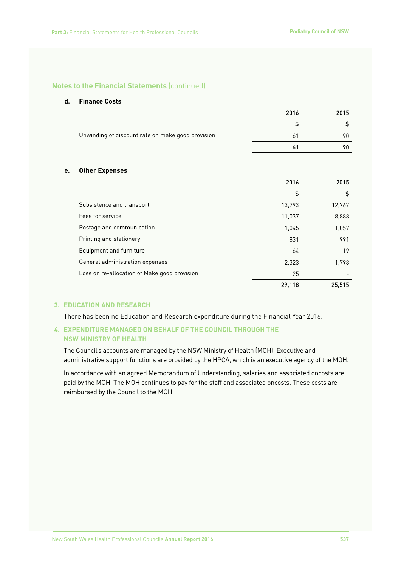#### **d. Finance Costs**

|                                                   | 2016   | 2015   |
|---------------------------------------------------|--------|--------|
|                                                   | \$     | \$     |
| Unwinding of discount rate on make good provision | 61     | 90     |
|                                                   | 61     | 90     |
| <b>Other Expenses</b><br>e.                       |        |        |
|                                                   | 2016   | 2015   |
|                                                   | \$     | \$     |
| Subsistence and transport                         | 13,793 | 12,767 |
| Fees for service                                  | 11,037 | 8,888  |
| Postage and communication                         | 1,045  | 1,057  |
| Printing and stationery                           | 831    | 991    |
| Equipment and furniture                           | 64     | 19     |
| General administration expenses                   | 2,323  | 1,793  |
| Loss on re-allocation of Make good provision      | 25     |        |
|                                                   | 29,118 | 25,515 |

### **3. EDUCATION AND RESEARCH**

There has been no Education and Research expenditure during the Financial Year 2016.

### **4. EXPENDITURE MANAGED ON BEHALF OF THE COUNCIL THROUGH THE NSW MINISTRY OF HEALTH**

The Council's accounts are managed by the NSW Ministry of Health (MOH). Executive and administrative support functions are provided by the HPCA, which is an executive agency of the MOH.

In accordance with an agreed Memorandum of Understanding, salaries and associated oncosts are paid by the MOH. The MOH continues to pay for the staff and associated oncosts. These costs are reimbursed by the Council to the MOH.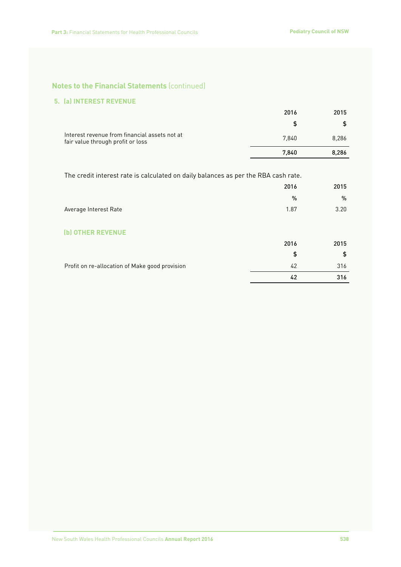### **5. (a) INTEREST REVENUE**

|                                                                                    | 2016  | 2015  |
|------------------------------------------------------------------------------------|-------|-------|
|                                                                                    |       |       |
| Interest revenue from financial assets not at<br>fair value through profit or loss | 7.840 | 8,286 |
|                                                                                    | 7.840 | 8,286 |

The credit interest rate is calculated on daily balances as per the RBA cash rate.

|                                                | 2016 | 2015 |
|------------------------------------------------|------|------|
|                                                | $\%$ | %    |
| Average Interest Rate                          | 1.87 | 3.20 |
|                                                |      |      |
| (b) OTHER REVENUE                              |      |      |
|                                                | 2016 | 2015 |
|                                                | \$   | \$   |
| Profit on re-allocation of Make good provision | 42   | 316  |
|                                                | 42   | 316  |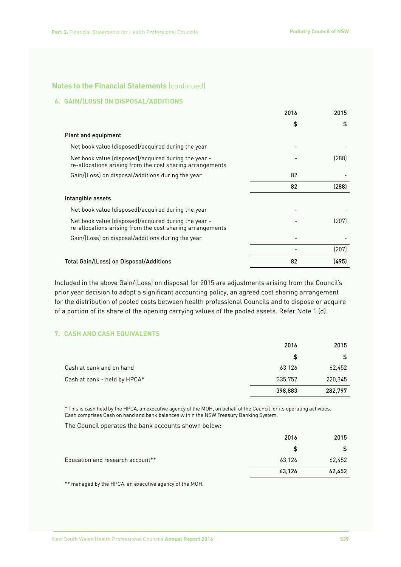### **6. GAIN/(LOSS) ON DISPOSAL/ADDITIONS**

|                                                                                                                   | 2016 | 2015  |
|-------------------------------------------------------------------------------------------------------------------|------|-------|
|                                                                                                                   | \$   | \$    |
| Plant and equipment                                                                                               |      |       |
| Net book value (disposed)/acquired during the year                                                                |      |       |
| Net book value (disposed)/acquired during the year -<br>re-allocations arising from the cost sharing arrangements |      | (288) |
| Gain/(Loss) on disposal/additions during the year                                                                 | 82   |       |
|                                                                                                                   | 82   | (288) |
| Intangible assets                                                                                                 |      |       |
| Net book value (disposed)/acquired during the year                                                                |      |       |
| Net book value (disposed)/acquired during the year -<br>re-allocations arising from the cost sharing arrangements |      | (207) |
| Gain/(Loss) on disposal/additions during the year                                                                 |      |       |
|                                                                                                                   |      | (207) |
| Total Gain/(Loss) on Disposal/Additions                                                                           | 82   | (495) |

Included in the above Gain/(Loss) on disposal for 2015 are adjustments arising from the Council's prior year decision to adopt a significant accounting policy, an agreed cost sharing arrangement for the distribution of pooled costs between health professional Councils and to dispose or acquire of a portion of its share of the opening carrying values of the pooled assets. Refer Note 1 (d).

### **7. CASH AND CASH EQUIVALENTS**

|                              | 2016    | 2015    |
|------------------------------|---------|---------|
|                              | \$      | \$      |
| Cash at bank and on hand     | 63,126  | 62,452  |
| Cash at bank - held by HPCA* | 335,757 | 220,345 |
|                              | 398,883 | 282,797 |

\* This is cash held by the HPCA, an executive agency of the MOH, on behalf of the Council for its operating activities. Cash comprises Cash on hand and bank balances within the NSW Treasury Banking System.

The Council operates the bank accounts shown below:

|                                  | 2016   | 2015   |
|----------------------------------|--------|--------|
|                                  |        |        |
| Education and research account** | 63,126 | 62,452 |
|                                  | 63,126 | 62,452 |

\*\* managed by the HPCA, an executive agency of the MOH.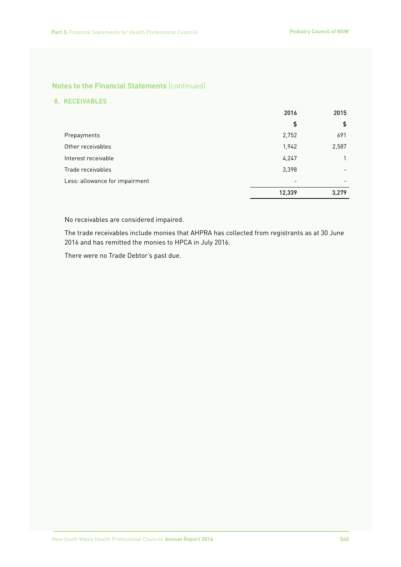### **8. RECEIVABLES**

|                                | 2016   | 2015  |
|--------------------------------|--------|-------|
|                                | \$     | \$    |
| Prepayments                    | 2,752  | 691   |
| Other receivables              | 1,942  | 2,587 |
| Interest receivable            | 4,247  |       |
| Trade receivables              | 3,398  |       |
| Less: allowance for impairment |        |       |
|                                | 12,339 | 3,279 |

No receivables are considered impaired.

The trade receivables include monies that AHPRA has collected from registrants as at 30 June 2016 and has remitted the monies to HPCA in July 2016.

There were no Trade Debtor's past due.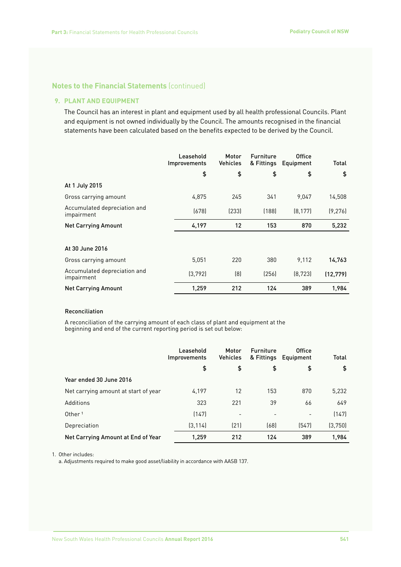### **9. PLANT AND EQUIPMENT**

The Council has an interest in plant and equipment used by all health professional Councils. Plant and equipment is not owned individually by the Council. The amounts recognised in the financial statements have been calculated based on the benefits expected to be derived by the Council.

|                                            | Leasehold<br><i>Improvements</i> | Motor<br><b>Vehicles</b> | <b>Furniture</b><br>& Fittings | <b>Office</b><br>Equipment | Total     |
|--------------------------------------------|----------------------------------|--------------------------|--------------------------------|----------------------------|-----------|
|                                            | \$                               | \$                       | \$                             | \$                         | \$        |
| At 1 July 2015                             |                                  |                          |                                |                            |           |
| Gross carrying amount                      | 4,875                            | 245                      | 341                            | 9,047                      | 14,508    |
| Accumulated depreciation and<br>impairment | (678)                            | [233]                    | (188)                          | (8, 177)                   | (9, 276)  |
| <b>Net Carrying Amount</b>                 | 4,197                            | 12                       | 153                            | 870                        | 5,232     |
|                                            |                                  |                          |                                |                            |           |
| At 30 June 2016                            |                                  |                          |                                |                            |           |
| Gross carrying amount                      | 5,051                            | 220                      | 380                            | 9,112                      | 14,763    |
| Accumulated depreciation and<br>impairment | (3, 792)                         | (8)                      | (256)                          | (8, 723)                   | (12, 779) |
| <b>Net Carrying Amount</b>                 | 1,259                            | 212                      | 124                            | 389                        | 1,984     |

#### Reconciliation

A reconciliation of the carrying amount of each class of plant and equipment at the beginning and end of the current reporting period is set out below:

|                                      | Leasehold<br><b>Improvements</b> | Motor<br><b>Vehicles</b> | <b>Furniture</b><br>& Fittings | <b>Office</b><br>Equipment | Total   |
|--------------------------------------|----------------------------------|--------------------------|--------------------------------|----------------------------|---------|
|                                      | \$                               | \$                       | \$                             | \$                         | \$      |
| Year ended 30 June 2016              |                                  |                          |                                |                            |         |
| Net carrying amount at start of year | 4.197                            | 12                       | 153                            | 870                        | 5,232   |
| Additions                            | 323                              | 221                      | 39                             | 66                         | 649     |
| Other <sup>1</sup>                   | (147)                            | $\overline{\phantom{a}}$ | $\qquad \qquad -$              |                            | (147)   |
| Depreciation                         | (3, 114)                         | (21)                     | (68)                           | (547)                      | (3,750) |
| Net Carrying Amount at End of Year   | 1.259                            | 212                      | 124                            | 389                        | 1,984   |

1. Other includes:

a. Adjustments required to make good asset/liability in accordance with AASB 137.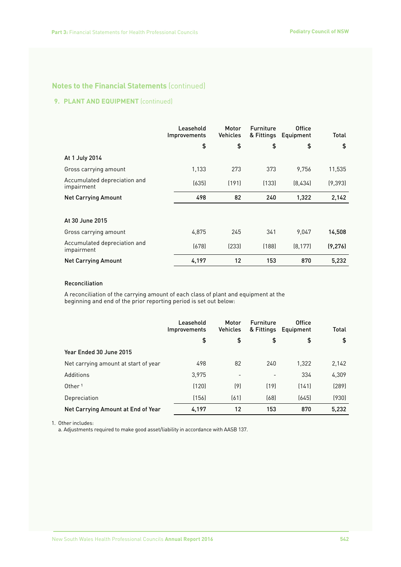### **9. PLANT AND EQUIPMENT** (continued)

|                                            | Leasehold<br><b>Improvements</b> | Motor<br><b>Vehicles</b> | <b>Furniture</b><br>& Fittings | <b>Office</b><br>Equipment | Total    |
|--------------------------------------------|----------------------------------|--------------------------|--------------------------------|----------------------------|----------|
|                                            | \$                               | \$                       | \$                             | \$                         | \$       |
| At 1 July 2014                             |                                  |                          |                                |                            |          |
| Gross carrying amount                      | 1,133                            | 273                      | 373                            | 9.756                      | 11,535   |
| Accumulated depreciation and<br>impairment | (635)                            | (191)                    | (133)                          | (8,434)                    | (9, 393) |
| <b>Net Carrying Amount</b>                 | 498                              | 82                       | 240                            | 1,322                      | 2,142    |
|                                            |                                  |                          |                                |                            |          |
| At 30 June 2015                            |                                  |                          |                                |                            |          |
| Gross carrying amount                      | 4,875                            | 245                      | 341                            | 9,047                      | 14,508   |
| Accumulated depreciation and<br>impairment | (678)                            | (233)                    | (188)                          | (8, 177)                   | (9, 276) |
| <b>Net Carrying Amount</b>                 | 4,197                            | 12                       | 153                            | 870                        | 5,232    |

### Reconciliation

A reconciliation of the carrying amount of each class of plant and equipment at the beginning and end of the prior reporting period is set out below:

|                                      | Leasehold<br><i>Improvements</i> | Motor<br><b>Vehicles</b> | <b>Furniture</b><br>& Fittings | <b>Office</b><br>Equipment | Total |
|--------------------------------------|----------------------------------|--------------------------|--------------------------------|----------------------------|-------|
|                                      | \$                               | \$                       | \$                             | \$                         | \$    |
| Year Ended 30 June 2015              |                                  |                          |                                |                            |       |
| Net carrying amount at start of year | 498                              | 82                       | 240                            | 1,322                      | 2,142 |
| Additions                            | 3,975                            | $\overline{\phantom{a}}$ | $\qquad \qquad$                | 334                        | 4,309 |
| Other <sup>1</sup>                   | (120)                            | (9)                      | (19)                           | (141)                      | (289) |
| Depreciation                         | (156)                            | (61)                     | (68)                           | (645)                      | (930) |
| Net Carrying Amount at End of Year   | 4,197                            | 12                       | 153                            | 870                        | 5,232 |

1. Other includes:

a. Adjustments required to make good asset/liability in accordance with AASB 137.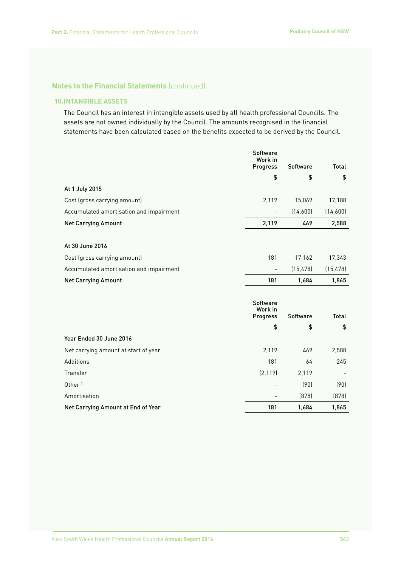### **10.INTANGIBLE ASSETS**

The Council has an interest in intangible assets used by all health professional Councils. The assets are not owned individually by the Council. The amounts recognised in the financial statements have been calculated based on the benefits expected to be derived by the Council.

|                                         | Software<br>Work in<br>Progress        | Software  | <b>Total</b> |
|-----------------------------------------|----------------------------------------|-----------|--------------|
|                                         | \$                                     | \$        | \$           |
| At 1 July 2015                          |                                        |           |              |
| Cost (gross carrying amount)            | 2,119                                  | 15,069    | 17,188       |
| Accumulated amortisation and impairment |                                        | (14,600)  | (14,600)     |
| <b>Net Carrying Amount</b>              | 2,119                                  | 469       | 2,588        |
|                                         |                                        |           |              |
| At 30 June 2016                         |                                        |           |              |
| Cost (gross carrying amount)            | 181                                    | 17,162    | 17,343       |
| Accumulated amortisation and impairment |                                        | (15, 478) | (15, 478)    |
| <b>Net Carrying Amount</b>              | 181                                    | 1,684     | 1,865        |
|                                         | <b>Software</b><br>Work in<br>Progress | Software  | Total        |
|                                         | \$                                     | \$        | \$           |
| Year Ended 30 June 2016                 |                                        |           |              |
| Net carrying amount at start of year    | 2,119                                  | 469       | 2,588        |
| Additions                               | 181                                    | 64        | 245          |
| Transfer                                | (2, 119)                               | 2,119     |              |
| Other <sup>1</sup>                      |                                        | (90)      | (90)         |
| Amortisation                            |                                        | (878)     | (878)        |
| Net Carrying Amount at End of Year      | 181                                    | 1,684     | 1,865        |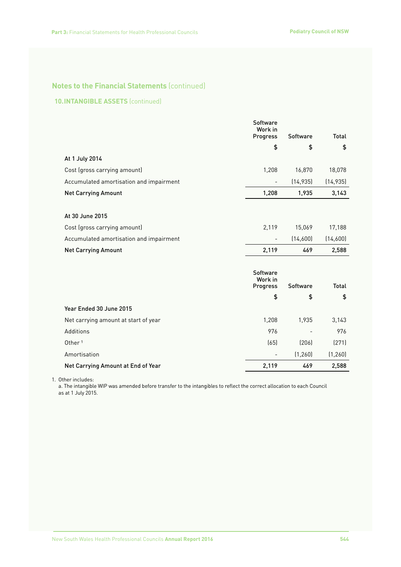### **10.INTANGIBLE ASSETS** (continued)

|                                         | <b>Software</b><br>Work in<br><b>Progress</b> | Software  | Total        |
|-----------------------------------------|-----------------------------------------------|-----------|--------------|
|                                         | \$                                            | \$        | \$           |
| At 1 July 2014                          |                                               |           |              |
| Cost (gross carrying amount)            | 1,208                                         | 16,870    | 18,078       |
| Accumulated amortisation and impairment |                                               | (14, 935) | (14, 935)    |
| <b>Net Carrying Amount</b>              | 1,208                                         | 1,935     | 3,143        |
|                                         |                                               |           |              |
| At 30 June 2015                         |                                               |           |              |
| Cost (gross carrying amount)            | 2,119                                         | 15,069    | 17,188       |
| Accumulated amortisation and impairment |                                               | (14,600)  | (14,600)     |
| <b>Net Carrying Amount</b>              | 2,119                                         | 469       | 2,588        |
|                                         |                                               |           |              |
|                                         | <b>Software</b><br>Work in                    |           |              |
|                                         | Progress                                      | Software  | <b>Total</b> |
|                                         | \$                                            | \$        | \$           |
| Year Ended 30 June 2015                 |                                               |           |              |
| Net carrying amount at start of year    | 1,208                                         | 1,935     | 3,143        |
| Additions                               | 976                                           |           | 976          |
| Other <sup>1</sup>                      | (65)                                          | (206)     | (271)        |
| Amortisation                            | $\overline{a}$                                | (1, 260)  | (1, 260)     |
| Net Carrying Amount at End of Year      | 2,119                                         | 469       | 2,588        |

1. Other includes:

a. The intangible WIP was amended before transfer to the intangibles to reflect the correct allocation to each Council as at 1 July 2015.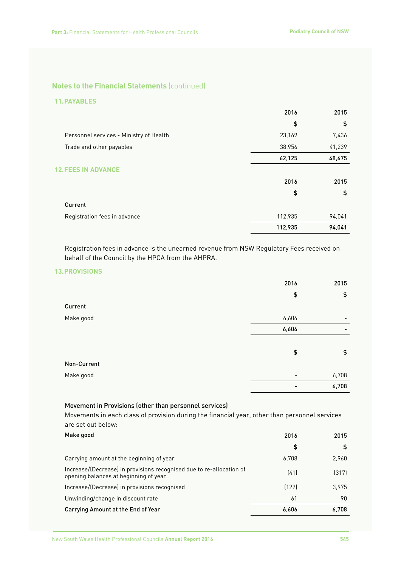### **11.PAYABLES**

|                                         | 2016    | 2015   |
|-----------------------------------------|---------|--------|
|                                         | \$      | \$     |
| Personnel services - Ministry of Health | 23,169  | 7,436  |
| Trade and other payables                | 38,956  | 41,239 |
|                                         | 62,125  | 48,675 |
| <b>12.FEES IN</b><br><b>VANCE</b>       |         |        |
|                                         | 2016    | 2015   |
|                                         | \$      | \$     |
| Current                                 |         |        |
| Registration fees in advance            | 112,935 | 94,041 |
|                                         | 112,935 | 94,041 |

Registration fees in advance is the unearned revenue from NSW Regulatory Fees received on behalf of the Council by the HPCA from the AHPRA.

### **13.PROVISIONS**

|             | 2016            | 2015                     |
|-------------|-----------------|--------------------------|
|             | \$              | \$                       |
| Current     |                 |                          |
| Make good   | 6,606           | $\overline{\phantom{0}}$ |
|             | 6,606           |                          |
|             |                 |                          |
|             | \$              | \$                       |
| Non-Current |                 |                          |
| Make good   | $\qquad \qquad$ | 6,708                    |
|             |                 | 6,708                    |

### Movement in Provisions (other than personnel services)

Movements in each class of provision during the financial year, other than personnel services are set out below:

| Make good                                                                                                     | 2016  | 2015  |
|---------------------------------------------------------------------------------------------------------------|-------|-------|
|                                                                                                               | \$    | \$    |
| Carrying amount at the beginning of year                                                                      | 6.708 | 2,960 |
| Increase/(Decrease) in provisions recognised due to re-allocation of<br>opening balances at beginning of year | (41)  | (317) |
| Increase/(Decrease) in provisions recognised                                                                  | (122) | 3.975 |
| Unwinding/change in discount rate                                                                             | 61    | 90    |
| Carrying Amount at the End of Year                                                                            | 6,606 | 6.708 |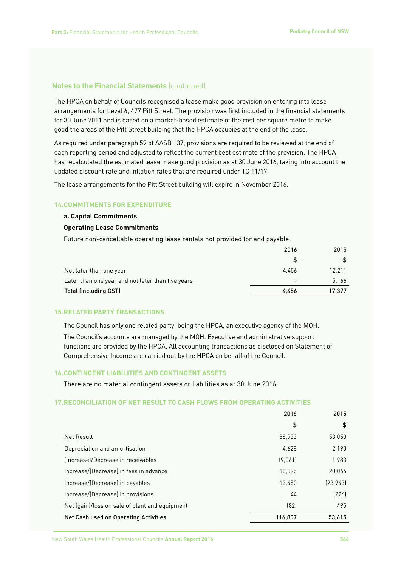The HPCA on behalf of Councils recognised a lease make good provision on entering into lease arrangements for Level 6, 477 Pitt Street. The provision was first included in the financial statements for 30 June 2011 and is based on a market-based estimate of the cost per square metre to make good the areas of the Pitt Street building that the HPCA occupies at the end of the lease.

As required under paragraph 59 of AASB 137, provisions are required to be reviewed at the end of each reporting period and adjusted to reflect the current best estimate of the provision. The HPCA has recalculated the estimated lease make good provision as at 30 June 2016, taking into account the updated discount rate and inflation rates that are required under TC 11/17.

The lease arrangements for the Pitt Street building will expire in November 2016.

### **14.COMMITMENTS FOR EXPENDITURE**

#### **a. Capital Commitments**

#### **Operating Lease Commitments**

Future non-cancellable operating lease rentals not provided for and payable:

|                                                   | 2016                     | 2015   |
|---------------------------------------------------|--------------------------|--------|
|                                                   |                          |        |
| Not later than one year                           | 4.456                    | 12.211 |
| Later than one year and not later than five years | $\overline{\phantom{a}}$ | 5.166  |
| <b>Total (including GST)</b>                      | 4.456                    | 17.377 |

#### **15.RELATED PARTY TRANSACTIONS**

The Council has only one related party, being the HPCA, an executive agency of the MOH.

The Council's accounts are managed by the MOH. Executive and administrative support functions are provided by the HPCA. All accounting transactions as disclosed on Statement of Comprehensive Income are carried out by the HPCA on behalf of the Council.

### **16.CONTINGENT LIABILITIES AND CONTINGENT ASSETS**

There are no material contingent assets or liabilities as at 30 June 2016.

### **17.RECONCILIATION OF NET RESULT TO CASH FLOWS FROM OPERATING ACTIVITIES**

|                                                | 2016    | 2015      |
|------------------------------------------------|---------|-----------|
|                                                | \$      | \$        |
| Net Result                                     | 88.933  | 53.050    |
| Depreciation and amortisation                  | 4.628   | 2,190     |
| (Increase)/Decrease in receivables             | (9.061) | 1.983     |
| Increase/(Decrease) in fees in advance         | 18.895  | 20,066    |
| Increase/(Decrease) in payables                | 13.450  | (23, 943) |
| Increase/(Decrease) in provisions              | 44      | (226)     |
| Net (gain)/loss on sale of plant and equipment | (82)    | 495       |
| Net Cash used on Operating Activities          | 116,807 | 53,615    |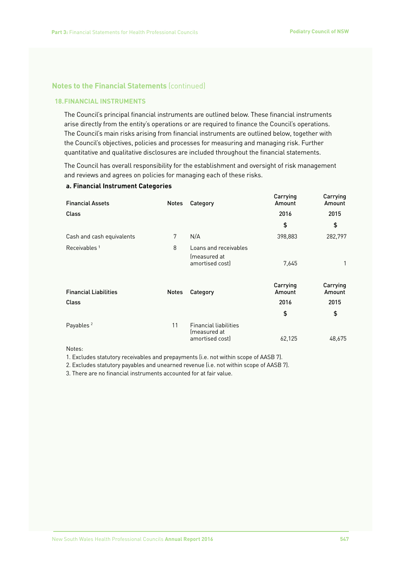### **18.FINANCIAL INSTRUMENTS**

The Council's principal financial instruments are outlined below. These financial instruments arise directly from the entity's operations or are required to finance the Council's operations. The Council's main risks arising from financial instruments are outlined below, together with the Council's objectives, policies and processes for measuring and managing risk. Further quantitative and qualitative disclosures are included throughout the financial statements.

The Council has overall responsibility for the establishment and oversight of risk management and reviews and agrees on policies for managing each of these risks.

### **a. Financial Instrument Categories**

| <b>Financial Assets</b>      | <b>Notes</b> | Category                                     | Carrying<br>Amount | Carrying<br>Amount |
|------------------------------|--------------|----------------------------------------------|--------------------|--------------------|
| <b>Class</b>                 |              |                                              | 2016               | 2015               |
|                              |              |                                              | \$                 | \$                 |
| Cash and cash equivalents    | 7            | N/A                                          | 398,883            | 282,797            |
| Receivables <sup>1</sup>     | 8            | Loans and receivables<br>(measured at        |                    |                    |
|                              |              | amortised cost)                              | 7.645              | 1                  |
| <b>Financial Liabilities</b> | <b>Notes</b> | Category                                     | Carrying<br>Amount | Carrying<br>Amount |
| Class                        |              |                                              | 2016               | 2015               |
|                              |              |                                              | \$                 | \$                 |
| Payables <sup>2</sup>        | 11           | <b>Financial liabilities</b><br>(measured at |                    |                    |
|                              |              | amortised cost)                              | 62,125             | 48,675             |

Notes:

1. Excludes statutory receivables and prepayments (i.e. not within scope of AASB 7).

2. Excludes statutory payables and unearned revenue (i.e. not within scope of AASB 7).

3. There are no financial instruments accounted for at fair value.